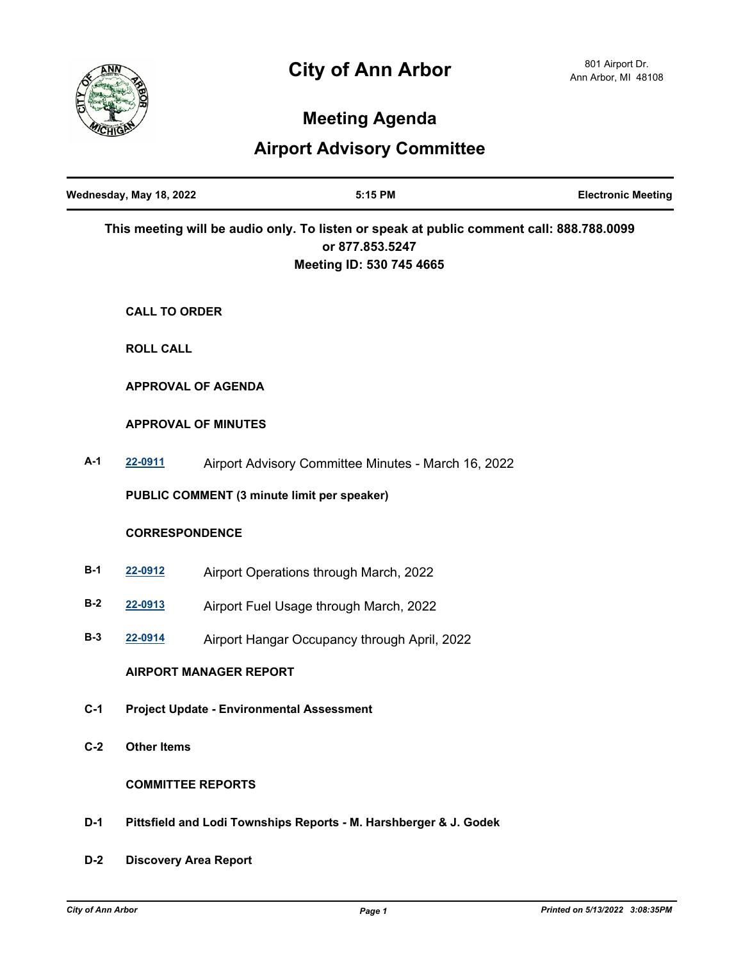

 $\blacksquare$ 

# **Meeting Agenda**

# **Airport Advisory Committee**

|       | Wednesday, May 18, 2022                                           | 5:15 PM                                                                                                                                 | <b>Electronic Meeting</b> |
|-------|-------------------------------------------------------------------|-----------------------------------------------------------------------------------------------------------------------------------------|---------------------------|
|       |                                                                   | This meeting will be audio only. To listen or speak at public comment call: 888.788.0099<br>or 877.853.5247<br>Meeting ID: 530 745 4665 |                           |
|       | <b>CALL TO ORDER</b>                                              |                                                                                                                                         |                           |
|       | <b>ROLL CALL</b>                                                  |                                                                                                                                         |                           |
|       | <b>APPROVAL OF AGENDA</b>                                         |                                                                                                                                         |                           |
|       | <b>APPROVAL OF MINUTES</b>                                        |                                                                                                                                         |                           |
| $A-1$ | 22-0911                                                           | Airport Advisory Committee Minutes - March 16, 2022                                                                                     |                           |
|       |                                                                   | PUBLIC COMMENT (3 minute limit per speaker)                                                                                             |                           |
|       | <b>CORRESPONDENCE</b>                                             |                                                                                                                                         |                           |
| $B-1$ | 22-0912                                                           | Airport Operations through March, 2022                                                                                                  |                           |
| $B-2$ | 22-0913                                                           | Airport Fuel Usage through March, 2022                                                                                                  |                           |
| $B-3$ | 22-0914                                                           | Airport Hangar Occupancy through April, 2022                                                                                            |                           |
|       |                                                                   | <b>AIRPORT MANAGER REPORT</b>                                                                                                           |                           |
| $C-1$ | <b>Project Update - Environmental Assessment</b>                  |                                                                                                                                         |                           |
| $C-2$ | <b>Other Items</b>                                                |                                                                                                                                         |                           |
|       | <b>COMMITTEE REPORTS</b>                                          |                                                                                                                                         |                           |
| $D-1$ | Pittsfield and Lodi Townships Reports - M. Harshberger & J. Godek |                                                                                                                                         |                           |
| $D-2$ | <b>Discovery Area Report</b>                                      |                                                                                                                                         |                           |